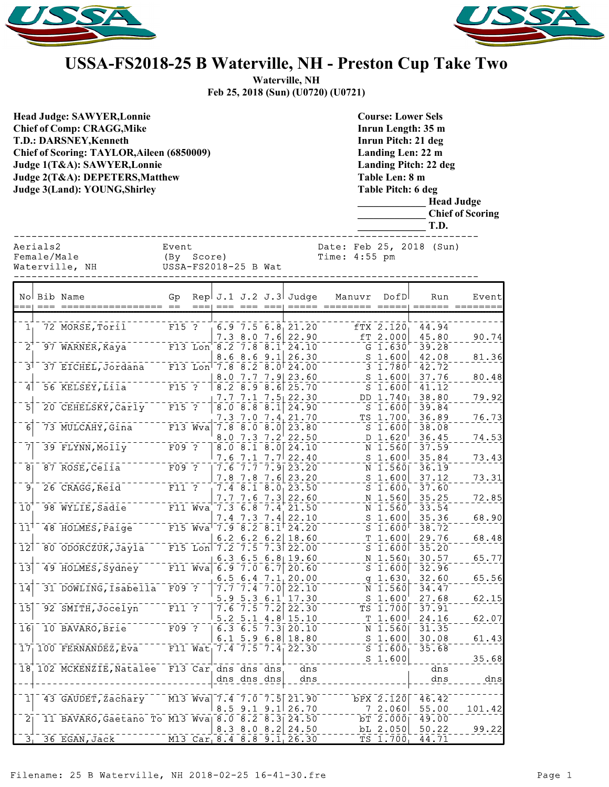



## **USSA-FS2018-25 B Waterville, NH - Preston Cup Take Two**

**Waterville, NH Feb 25, 2018 (Sun) (U0720) (U0721)**

| <b>Head Judge: SAWYER, Lonnie</b><br><b>Chief of Comp: CRAGG, Mike</b><br><b>T.D.: DARSNEY, Kenneth</b><br>Chief of Scoring: TAYLOR, Aileen (6850009)<br>Judge 1(T&A): SAWYER, Lonnie<br>Judge 2(T&A): DEPETERS, Matthew<br>Judge 3(Land): YOUNG, Shirley |                         |                                                                                                         |                                      |        |                     |                                                |     |                                                                                                                                                  |               | <b>Course: Lower Sels</b><br>Inrun Length: 35 m<br>Inrun Pitch: 21 deg<br>Landing Len: 22 m<br><b>Landing Pitch: 22 deg</b><br>Table Len: 8 m<br><b>Table Pitch: 6 deg</b><br><b>Head Judge</b><br><b>Chief of Scoring</b><br>T.D. |                                              |                          |                |  |
|-----------------------------------------------------------------------------------------------------------------------------------------------------------------------------------------------------------------------------------------------------------|-------------------------|---------------------------------------------------------------------------------------------------------|--------------------------------------|--------|---------------------|------------------------------------------------|-----|--------------------------------------------------------------------------------------------------------------------------------------------------|---------------|------------------------------------------------------------------------------------------------------------------------------------------------------------------------------------------------------------------------------------|----------------------------------------------|--------------------------|----------------|--|
|                                                                                                                                                                                                                                                           | Aerials2<br>Female/Male | Waterville, NH                                                                                          | Event<br>(By<br>USSA-FS2018-25 B Wat | Score) |                     |                                                |     |                                                                                                                                                  | Time: 4:55 pm |                                                                                                                                                                                                                                    |                                              | Date: Feb 25, 2018 (Sun) |                |  |
|                                                                                                                                                                                                                                                           |                         | No Bib Name                                                                                             | Gp<br>== ==                          | $==$   | $==$                | $== = = ==$                                    |     | Rep $J.1 J.2 J.3$ Judge                                                                                                                          |               | Manuvr                                                                                                                                                                                                                             | DofD<br>===== ======== =====                 | Run                      | Event          |  |
| 1 <sub>1</sub>                                                                                                                                                                                                                                            |                         | 72 MORSE, Toril                                                                                         | $F15$ ?                              |        |                     |                                                |     | $6.9 - 7.5 - 6.8 - 21.20$<br>$7.3$ 8.0 $7.6$ 22.90                                                                                               |               |                                                                                                                                                                                                                                    | fTX 2.120<br>fT 2.000                        | 44.94<br>45.80           | 90.74          |  |
| $\bar{2}^{\dagger}$<br>$\bar{3}$                                                                                                                                                                                                                          |                         | 97 WARNER, Kaya<br>37 EICHEL, Jordana <sup>11</sup> F13 Lon <sup>1</sup> 7.8 8.2 8.0 <sup>1</sup> 24.00 |                                      |        |                     |                                                |     | F13 Lon $8.2 - 7.8 - 8.1 + 24.10$<br>$8.6$ $8.6$ $9.1$ $26.30$                                                                                   |               |                                                                                                                                                                                                                                    | $G_1.630$<br>$S$ 1.600<br>$3 \t1.780$        | 39.28<br>42.08<br>42.72  | 81.36          |  |
| 4                                                                                                                                                                                                                                                         |                         | 56 KELSEY, Lila                                                                                         | $F15$ ?                              |        |                     |                                                |     | 8.0 7.7 7.9 23.60<br>$-8.2 - 8.9 - 8.6$ 25.70                                                                                                    |               |                                                                                                                                                                                                                                    | $S$ 1.600<br>$S$ 1.600                       | 37.76<br>41.12           | 80.48          |  |
| $\overline{5}$                                                                                                                                                                                                                                            |                         | 20 CEHELSKY, Carly                                                                                      | $\overline{F15}$ ?                   |        |                     |                                                |     | $7.7$ $7.1$ $7.5$ 22.30<br>8.0 8.8 8.1 24.90<br>7.3 7.0 7.4 21.70                                                                                |               |                                                                                                                                                                                                                                    | DD 1.740<br>$S$ 1.600<br>$TS$ 1.700          | 38.80<br>39.84<br>36.89  | 79.92<br>76.73 |  |
| $\bar{6}$                                                                                                                                                                                                                                                 |                         | 73 MULCAHY, Gina                                                                                        |                                      |        |                     | $8.0$ 7.3 7.2                                  |     | F13 Wva 7.8 8.0 8.0 23.80<br>22.50                                                                                                               |               |                                                                                                                                                                                                                                    | $S_1.600$<br>D 1.620                         | 38.08<br>36.45           | 74.53          |  |
| $\bar{7}$<br>$\overline{8}$                                                                                                                                                                                                                               |                         | 39 FLYNN, Molly<br>87 ROSE, Celia                                                                       | $F09$ ?<br>$F09$ ?                   |        |                     |                                                |     | $\overline{8.0}$ $\overline{8.1}$ $\overline{8.0}$ $\overline{24.10}$<br>$7.6$ $7.1$ $7.7$ $22.40$<br>$7.6 - 7.7 - 7.9$ 23.20                    |               |                                                                                                                                                                                                                                    | $N$ 1.560<br>$S$ 1.600<br>N 1.560            | 37.59<br>35.84           | 73.43          |  |
| ِ وَ                                                                                                                                                                                                                                                      |                         | 26 CRAGG, Reid                                                                                          | $F11$ ?                              |        |                     |                                                |     | 7.8 7.8 7.6 23.20<br>$7.4$ 8.1 8.0 23.50                                                                                                         |               |                                                                                                                                                                                                                                    | $S$ 1.600<br>$S_1.600_1$                     | 36.19<br>37.12<br>37.60  | 73.31          |  |
| 10                                                                                                                                                                                                                                                        |                         | 98 WYLIE, Sadie                                                                                         |                                      |        |                     |                                                |     | $7.7$ $7.6$ $7.3$ 22.60<br>F11 Wva 7.3 6.8 7.4 21.50                                                                                             |               |                                                                                                                                                                                                                                    | N 1.560<br>N 1.560                           | 35.25<br>33.54           | 72.85          |  |
| 11 <sup>1</sup>                                                                                                                                                                                                                                           |                         | 48 HOLMES, Paige                                                                                        |                                      |        |                     |                                                |     | $\begin{array}{c c c c c c c c c} & 7.4 & 7.3 & 7.4 & 22.10 \\ \hline \text{F15 Wva} & 7.9 & 8.2 & 8.1 & 24.20 \end{array}$<br>6.2 6.2 6.2 18.60 |               |                                                                                                                                                                                                                                    | $S_1.600$<br>$S$ 1.600<br>T 1.600            | 35.36<br>38.72<br>29.76  | 68.90<br>68.48 |  |
| $\overline{12}$                                                                                                                                                                                                                                           |                         | 80 ODORCZUK, Jayla                                                                                      |                                      |        |                     |                                                |     | F15 Lon 7.2 7.5 7.3 22.00<br>6.3 6.5 6.8 19.60                                                                                                   |               |                                                                                                                                                                                                                                    | $S$ 1.600<br>$N$ 1.560                       | 35.20<br>30.57           | 65.77          |  |
| $\overline{13}$<br>$\overline{1}\overline{4}$                                                                                                                                                                                                             |                         | 49 HOLMES, Sydney<br>31 DOWLING, Isabella                                                               | $F09$ ?                              |        |                     | 6.5, 6.4, 7.1                                  |     | F11 Wva 6.9 7.0 6.7 20.60<br>20.00                                                                                                               |               |                                                                                                                                                                                                                                    | $S$ 1.600<br>g 1.630                         | 32.96<br>32.60           | 65.56          |  |
| $\overline{15}$                                                                                                                                                                                                                                           |                         | 92 SMITH, Jocelyn                                                                                       | $F11$ ?                              |        |                     | 5.9 5.3<br>$7.6 \overline{7.5} \overline{7.2}$ | 6.1 | $7.7$ $7.4$ $7.0$ 22.10<br>17.30<br>22.30                                                                                                        |               |                                                                                                                                                                                                                                    | $N$ 1.560<br>$S_{1.600}$<br>$TS$ 1.700       | 34.47<br>27.68<br>37.91  | 62.15          |  |
| 16                                                                                                                                                                                                                                                        |                         | 10 BAVARO, Brie                                                                                         | F09 ?                                |        |                     |                                                |     | $5.2$ 5.1 $4.8$ 15.10<br>6.3 6.5 7.3 $20.10$                                                                                                     |               |                                                                                                                                                                                                                                    | T 1.600<br>$N$ 1.560                         | 24.16<br>31.35           | 62.07          |  |
| 17 <sub>1</sub>                                                                                                                                                                                                                                           |                         | 100 FERNANDEZ, Eva                                                                                      |                                      |        |                     |                                                |     | $6.1$ 5.9 6.8 18.80<br>F11 Wat <sub>1</sub> 7.4 7.5 7.4 22.30                                                                                    |               |                                                                                                                                                                                                                                    | $S$ 1.600<br>$S$ 1.600<br>S <sub>1.600</sub> | 30.08<br>35.68           | 61.43<br>35.68 |  |
|                                                                                                                                                                                                                                                           |                         | 18 102 MCKENZIE, Natalee                                                                                |                                      |        | F13 Car dns dns dns | dns dns dns                                    |     | dns<br>dns                                                                                                                                       |               |                                                                                                                                                                                                                                    |                                              | dns<br>dns               | dns            |  |
| 1                                                                                                                                                                                                                                                         |                         | 43 GAUDET, Zachary                                                                                      |                                      |        |                     |                                                |     | M13 Wva 7.4 7.0 7.5 21.90<br>$8.5$ 9.1 9.1 26.70                                                                                                 |               |                                                                                                                                                                                                                                    | bPX 2.120<br>72.060                          | 46.42<br>55.00           | 101.42         |  |
| $\overline{2}$                                                                                                                                                                                                                                            |                         | 11 BAVARO, Gaetano To M13 Wva 8.0 8.2 8.3 24.50                                                         |                                      |        |                     |                                                |     | $8.3$ $8.0$ $8.2$ 24.50                                                                                                                          |               |                                                                                                                                                                                                                                    | $bT$ 2.000<br>bL 2.050                       | 49.00<br>50.22           | 99.22          |  |
|                                                                                                                                                                                                                                                           |                         | $31$ 36 EGAN, Jack                                                                                      |                                      |        |                     |                                                |     | M13 Car 8.4 8.8 9.1 26.30                                                                                                                        |               |                                                                                                                                                                                                                                    | $TS$ 1.700                                   | 44.71                    |                |  |